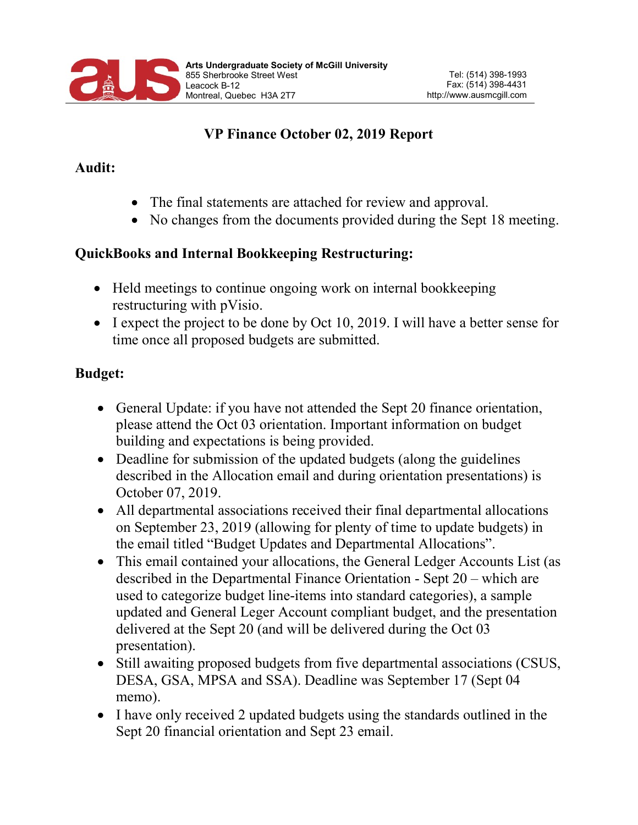

## VP Finance October 02, 2019 Report

### Audit:

- The final statements are attached for review and approval.
- No changes from the documents provided during the Sept 18 meeting.

## QuickBooks and Internal Bookkeeping Restructuring:

- Held meetings to continue ongoing work on internal bookkeeping restructuring with pVisio.
- I expect the project to be done by Oct 10, 2019. I will have a better sense for time once all proposed budgets are submitted.

## Budget:

- General Update: if you have not attended the Sept 20 finance orientation, please attend the Oct 03 orientation. Important information on budget building and expectations is being provided.
- Deadline for submission of the updated budgets (along the guidelines described in the Allocation email and during orientation presentations) is October 07, 2019.
- All departmental associations received their final departmental allocations on September 23, 2019 (allowing for plenty of time to update budgets) in the email titled "Budget Updates and Departmental Allocations".
- This email contained your allocations, the General Ledger Accounts List (as described in the Departmental Finance Orientation - Sept 20 – which are used to categorize budget line-items into standard categories), a sample updated and General Leger Account compliant budget, and the presentation delivered at the Sept 20 (and will be delivered during the Oct 03 presentation).
- Still awaiting proposed budgets from five departmental associations (CSUS, DESA, GSA, MPSA and SSA). Deadline was September 17 (Sept 04 memo).
- I have only received 2 updated budgets using the standards outlined in the Sept 20 financial orientation and Sept 23 email.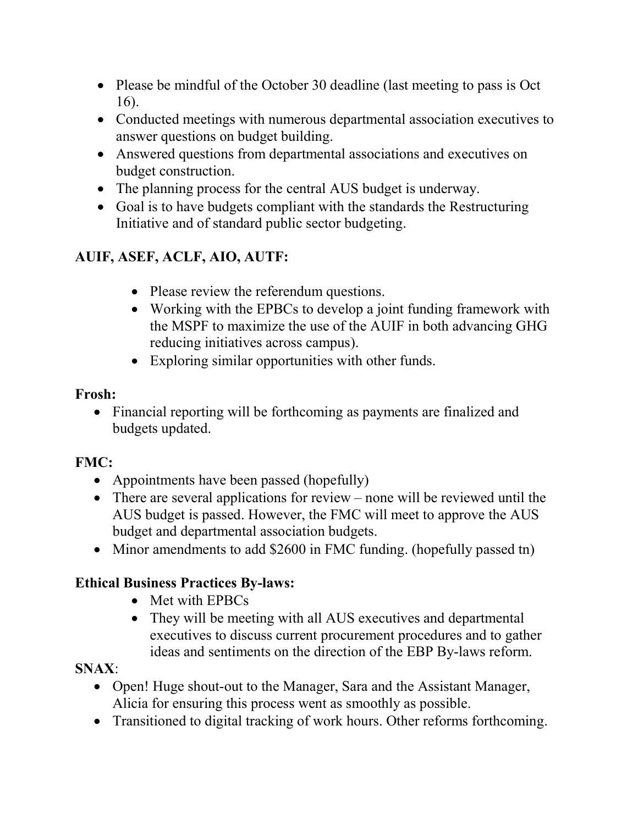- Please be mindful of the October 30 deadline (last meeting to pass is Oct) 16).
- Conducted meetings with numerous departmental association executives to answer questions on budget building.
- Answered questions from departmental associations and executives on budget construction.
- The planning process for the central AUS budget is underway.
- Goal is to have budgets compliant with the standards the Restructuring Initiative and of standard public sector budgeting.

# AUIF, ASEF, ACLF, AIO, AUTF:

- Please review the referendum questions.
- Working with the EPBCs to develop a joint funding framework with the MSPF to maximize the use of the AUIF in both advancing GHG reducing initiatives across campus).
- Exploring similar opportunities with other funds.

#### Frosh:

• Financial reporting will be forthcoming as payments are finalized and budgets updated.

### FMC:

- Appointments have been passed (hopefully)
- There are several applications for review none will be reviewed until the AUS budget is passed. However, the FMC will meet to approve the AUS budget and departmental association budgets.
- Minor amendments to add \$2600 in FMC funding. (hopefully passed tn)

### Ethical Business Practices By-laws:

- Met with EPBCs
- They will be meeting with all AUS executives and departmental executives to discuss current procurement procedures and to gather ideas and sentiments on the direction of the EBP By-laws reform.

### SNAX:

- Open! Huge shout-out to the Manager, Sara and the Assistant Manager, Alicia for ensuring this process went as smoothly as possible.
- Transitioned to digital tracking of work hours. Other reforms forthcoming.